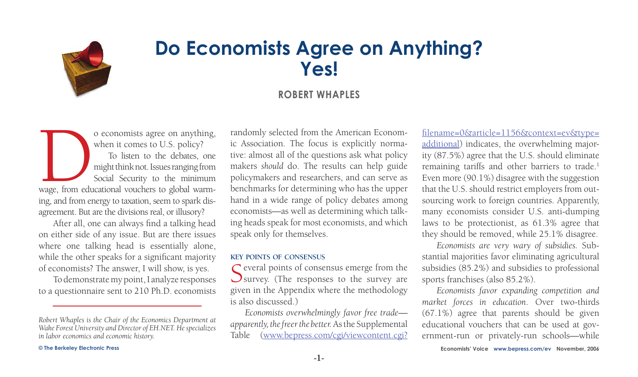

# **Do Economists Agree on Anything? Yes!**

# **Robert Whaples**

o economists agree on anything,<br>
when it comes to U.S. policy?<br>
To listen to the debates, one<br>
might think not. Issues ranging from<br>
Social Security to the minimum<br>
wage, from educational vouchers to global warmwhen it comes to U.S. policy? To listen to the debates, one might think not. Issues ranging from Social Security to the minimum ing, and from energy to taxation, seem to spark disagreement. But are the divisions real, or illusory?

After all, one can always find a talking head on either side of any issue. But are there issues where one talking head is essentially alone, while the other speaks for a significant majority of economists? The answer, I will show, is yes.

To demonstrate my point, I analyze responses to a questionnaire sent to 210 Ph.D. economists

randomly selected from the American Economic Association. The focus is explicitly normative: almost all of the questions ask what policy makers *should* do. The results can help guide policymakers and researchers, and can serve as benchmarks for determining who has the upper hand in a wide range of policy debates among economists—as well as determining which talking heads speak for most economists, and which speak only for themselves.

#### **key points of consensus**

 $\Gamma$  everal points of consensus emerge from the  $\bigcup$  survey. (The responses to the survey are given in the Appendix where the methodology is also discussed.)

*Economists overwhelmingly favor free trade apparently, the freer the better.* As the Supplemental Table ([www.bepress.com/cgi/viewcontent.cgi?](http://www.bepress.com/cgi/viewcontent.cgi?filename=0&article=1156&context=ev&type=additional) [filename=0&article=1156&context=ev&type=](http://www.bepress.com/cgi/viewcontent.cgi?filename=0&article=1156&context=ev&type=additional) [additional](http://www.bepress.com/cgi/viewcontent.cgi?filename=0&article=1156&context=ev&type=additional)) indicates, the overwhelming majority (87.5%) agree that the U.S. should eliminate remaining tariffs and other barriers to trade.<sup>1</sup> Even more (90.1%) disagree with the suggestion that the U.S. should restrict employers from outsourcing work to foreign countries. Apparently, many economists consider U.S. anti-dumping laws to be protectionist, as 61.3% agree that they should be removed, while 25.1% disagree.

*Economists are very wary of subsidies.* Substantial majorities favor eliminating agricultural subsidies (85.2%) and subsidies to professional sports franchises (also 85.2%).

*Economists favor expanding competition and market forces in education*. Over two-thirds (67.1%) agree that parents should be given educational vouchers that can be used at government-run or privately-run schools—while

*Robert Whaples is the Chair of the Economics Department at Wake Forest University and Director of EH.NET. He specializes in labor economics and economic history.*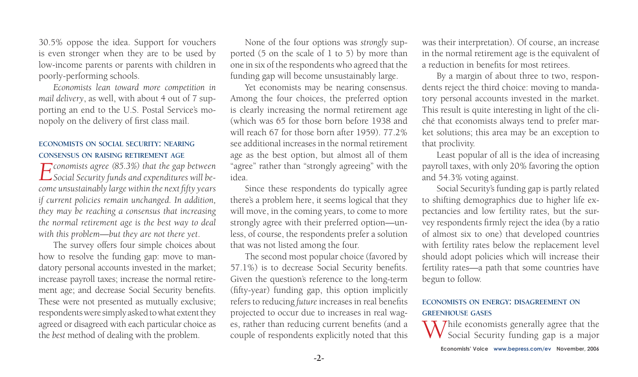30.5% oppose the idea. Support for vouchers is even stronger when they are to be used by low-income parents or parents with children in poorly-performing schools.

*Economists lean toward more competition in mail delivery*, as well, with about 4 out of 7 supporting an end to the U.S. Postal Service's monopoly on the delivery of first class mail.

### **economists on social security: nearing consensus on raising retirement age**

*Economists agree (85.3%) that the gap between Social Security funds and expenditures will become unsustainably large within the next fifty years if current policies remain unchanged. In addition, they may be reaching a consensus that increasing the normal retirement age is the best way to deal with this problem—but they are not there yet*.

The survey offers four simple choices about how to resolve the funding gap: move to mandatory personal accounts invested in the market; increase payroll taxes; increase the normal retirement age; and decrease Social Security benefits. These were not presented as mutually exclusive; respondents were simply asked to what extent they agreed or disagreed with each particular choice as the *best* method of dealing with the problem.

None of the four options was *strongly* supported (5 on the scale of 1 to 5) by more than one in six of the respondents who agreed that the funding gap will become unsustainably large.

Yet economists may be nearing consensus. Among the four choices, the preferred option is clearly increasing the normal retirement age (which was 65 for those born before 1938 and will reach 67 for those born after 1959). 77.2% see additional increases in the normal retirement age as the best option, but almost all of them "agree" rather than "strongly agreeing" with the idea.

Since these respondents do typically agree there's a problem here, it seems logical that they will move, in the coming years, to come to more strongly agree with their preferred option—unless, of course, the respondents prefer a solution that was not listed among the four.

The second most popular choice (favored by 57.1%) is to decrease Social Security benefits. Given the question's reference to the long-term (fifty-year) funding gap, this option implicitly refers to reducing *future* increases in real benefits projected to occur due to increases in real wages, rather than reducing current benefits (and a couple of respondents explicitly noted that this was their interpretation). Of course, an increase in the normal retirement age is the equivalent of a reduction in benefits for most retirees.

By a margin of about three to two, respondents reject the third choice: moving to mandatory personal accounts invested in the market. This result is quite interesting in light of the cliché that economists always tend to prefer market solutions; this area may be an exception to that proclivity.

Least popular of all is the idea of increasing payroll taxes, with only 20% favoring the option and 54.3% voting against.

Social Security's funding gap is partly related to shifting demographics due to higher life expectancies and low fertility rates, but the survey respondents firmly reject the idea (by a ratio of almost six to one) that developed countries with fertility rates below the replacement level should adopt policies which will increase their fertility rates—a path that some countries have begun to follow.

## **economists on energy: disagreement on greenhouse gases**

 $\Sigma$   $\Sigma$  *T* hile economists generally agree that the Social Security funding gap is a major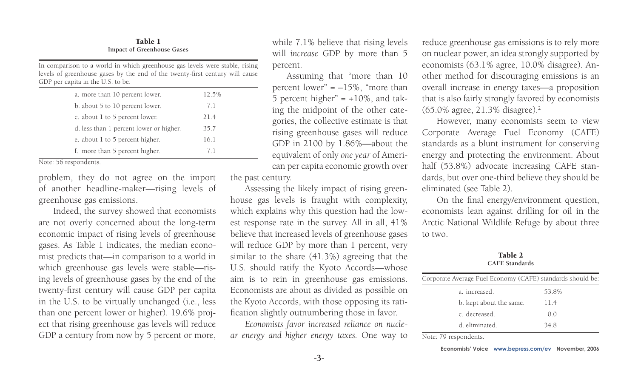Table 1 **Impact of Greenhouse Gases**

In comparison to a world in which greenhouse gas levels were stable, rising levels of greenhouse gases by the end of the twenty-first century will cause GDP per capita in the U.S. to be:

| a. more than 10 percent lower.          | 12.5% |  |
|-----------------------------------------|-------|--|
| b. about 5 to 10 percent lower.         | 7.1   |  |
| c. about 1 to 5 percent lower.          | 21.4  |  |
| d. less than 1 percent lower or higher. | 35.7  |  |
| e. about 1 to 5 percent higher.         | 16.1  |  |
| f. more than 5 percent higher.          | 71    |  |

Note: 56 respondents.

problem, they do not agree on the import of another headline-maker—rising levels of greenhouse gas emissions.

Indeed, the survey showed that economists are not overly concerned about the long-term economic impact of rising levels of greenhouse gases. As Table 1 indicates, the median economist predicts that—in comparison to a world in which greenhouse gas levels were stable—rising levels of greenhouse gases by the end of the twenty-first century will cause GDP per capita in the U.S. to be virtually unchanged (i.e., less than one percent lower or higher). 19.6% project that rising greenhouse gas levels will reduce GDP a century from now by 5 percent or more, while 7.1% believe that rising levels will *increase* GDP by more than 5 percent.

Assuming that "more than 10 percent lower"  $= -15\%$ , "more than 5 percent higher"  $= +10\%$ , and taking the midpoint of the other categories, the collective estimate is that rising greenhouse gases will reduce GDP in 2100 by 1.86%—about the equivalent of only *one year* of American per capita economic growth over

the past century.

Assessing the likely impact of rising greenhouse gas levels is fraught with complexity, which explains why this question had the lowest response rate in the survey. All in all, 41% believe that increased levels of greenhouse gases will reduce GDP by more than 1 percent, very similar to the share (41.3%) agreeing that the U.S. should ratify the Kyoto Accords—whose aim is to rein in greenhouse gas emissions. Economists are about as divided as possible on the Kyoto Accords, with those opposing its ratification slightly outnumbering those in favor.

*Economists favor increased reliance on nuclear energy and higher energy taxes.* One way to reduce greenhouse gas emissions is to rely more on nuclear power, an idea strongly supported by economists (63.1% agree, 10.0% disagree). Another method for discouraging emissions is an overall increase in energy taxes—a proposition that is also fairly strongly favored by economists  $(65.0\%$  agree, 21.3% disagree).<sup>2</sup>

However, many economists seem to view Corporate Average Fuel Economy (CAFE) standards as a blunt instrument for conserving energy and protecting the environment. About half (53.8%) advocate increasing CAFE standards, but over one-third believe they should be eliminated (see Table 2).

On the final energy/environment question, economists lean against drilling for oil in the Arctic National Wildlife Refuge by about three to two.

Table 2 **CAFE Standards**

| Corporate Average Fuel Economy (CAFE) standards should be: |  |
|------------------------------------------------------------|--|
| 53.8%                                                      |  |
| 11.4                                                       |  |
| 0.0                                                        |  |
| 348                                                        |  |
|                                                            |  |

Note: 79 respondents.

**Economists' Voice [www.bepress.com/](http://www.bepress.com)ev November, 2006**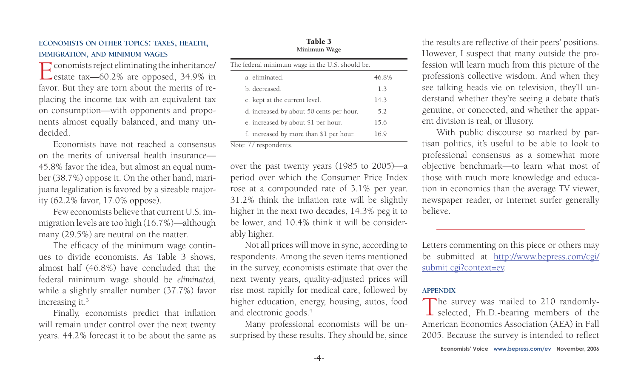**economists on other topics: taxes, health, immigration, and minimum wages**

Economists reject eliminating the inheritance/ estate tax—60.2% are opposed, 34.9% in favor. But they are torn about the merits of replacing the income tax with an equivalent tax on consumption—with opponents and proponents almost equally balanced, and many undecided.

Economists have not reached a consensus on the merits of universal health insurance— 45.8% favor the idea, but almost an equal number (38.7%) oppose it. On the other hand, marijuana legalization is favored by a sizeable majority (62.2% favor, 17.0% oppose).

Few economists believe that current U.S. immigration levels are too high (16.7%)—although many (29.5%) are neutral on the matter.

The efficacy of the minimum wage continues to divide economists. As Table 3 shows, almost half (46.8%) have concluded that the federal minimum wage should be *eliminated*, while a slightly smaller number (37.7%) favor increasing it.<sup>3</sup>

Finally, economists predict that inflation will remain under control over the next twenty years. 44.2% forecast it to be about the same as

over the past twenty years (1985 to 2005)—a period over which the Consumer Price Index rose at a compounded rate of 3.1% per year. 31.2% think the inflation rate will be slightly higher in the next two decades, 14.3% peg it to be lower, and 10.4% think it will be considerably higher.

Not all prices will move in sync, according to respondents. Among the seven items mentioned in the survey, economists estimate that over the next twenty years, quality-adjusted prices will rise most rapidly for medical care, followed by higher education, energy, housing, autos, food and electronic goods.<sup>4</sup>

Many professional economists will be unsurprised by these results. They should be, since

**--**

the results are reflective of their peers' positions. However, I suspect that many outside the profession will learn much from this picture of the profession's collective wisdom. And when they see talking heads vie on television, they'll understand whether they're seeing a debate that's genuine, or concocted, and whether the apparent division is real, or illusory.

With public discourse so marked by partisan politics, it's useful to be able to look to professional consensus as a somewhat more objective benchmark—to learn what most of those with much more knowledge and education in economics than the average TV viewer, newspaper reader, or Internet surfer generally believe.

Letters commenting on this piece or others may be submitted at [http://www.bepress.com/cgi/](http://www.bepress.com/cgi/submit.cgi?context=ev) [submit.cgi?context=e](http://www.bepress.com/cgi/submit.cgi?context=ev)v.

The survey was mailed to 210 randomly-<br>selected, Ph.D.-bearing members of the American Economics Association (AEA) in Fall 2005. Because the survey is intended to reflect

# **appendix**



Note: 77 respondents.

Table 3 **Minimum Wage**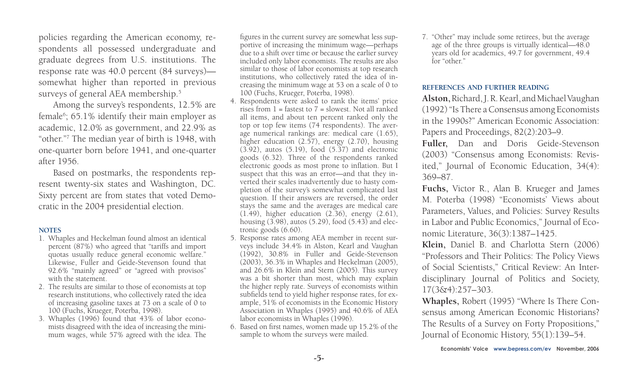policies regarding the American economy, respondents all possessed undergraduate and graduate degrees from U.S. institutions. The response rate was 40.0 percent (84 surveys) somewhat higher than reported in previous surveys of general AEA membership.<sup>5</sup>

Among the survey's respondents, 12.5% are female<sup>6</sup>; 65.1% identify their main employer as academic, 12.0% as government, and 22.9% as "other."7 The median year of birth is 1948, with one-quarter born before 1941, and one-quarter after 1956.

Based on postmarks, the respondents represent twenty-six states and Washington, DC. Sixty percent are from states that voted Democratic in the 2004 presidential election.

#### **notes**

- 1. Whaples and Heckelman found almost an identical percent (87%) who agreed that "tariffs and import quotas usually reduce general economic welfare." Likewise, Fuller and Geide-Stevenson found that 92.6% "mainly agreed" or "agreed with provisos" with the statement.
- 2. The results are similar to those of economists at top research institutions, who collectively rated the idea of increasing gasoline taxes at 73 on a scale of 0 to 100 (Fuchs, Krueger, Poterba, 1998).
- 3. Whaples (1996) found that 43% of labor economists disagreed with the idea of increasing the minimum wages, while 57% agreed with the idea. The

figures in the current survey are somewhat less supportive of increasing the minimum wage—perhaps due to a shift over time or because the earlier survey included only labor economists. The results are also similar to those of labor economists at top research institutions, who collectively rated the idea of increasing the minimum wage at 53 on a scale of 0 to 100 (Fuchs, Krueger, Poterba, 1998).

- 4. Respondents were asked to rank the items' price rises from  $1 =$  fastest to  $7 =$  slowest. Not all ranked all items, and about ten percent ranked only the top or top few items (74 respondents). The average numerical rankings are: medical care (1.65), higher education (2.57), energy (2.70), housing (3.92), autos (5.19), food (5.37) and electronic goods (6.32). Three of the respondents ranked electronic goods as most prone to inflation. But I suspect that this was an error—and that they inverted their scales inadvertently due to hasty completion of the survey's somewhat complicated last question. If their answers are reversed, the order stays the same and the averages are medical care (1.49), higher education (2.36), energy (2.61), housing  $(3.98)$ , autos  $(5.29)$ , food  $(5.43)$  and electronic goods (6.60).
- 5. Response rates among AEA member in recent surveys include 34.4% in Alston, Kearl and Vaughan (1992), 30.8% in Fuller and Geide-Stevenson (2003), 36.3% in Whaples and Heckelman (2005), and 26.6% in Klein and Stern (2005). This survey was a bit shorter than most, which may explain the higher reply rate. Surveys of economists within subfields tend to yield higher response rates, for example, 51% of economists in the Economic History Association in Whaples (1995) and 40.6% of AEA labor economists in Whaples (1996).
- 6. Based on first names, women made up 15.2% of the sample to whom the surveys were mailed.

7. "Other" may include some retirees, but the average age of the three groups is virtually identical—48.0 years old for academics, 49.7 for government, 49.4 for "other."

#### **references and further reading**

**Alston,** Richard, J. R. Kearl, and Michael Vaughan (1992) "Is There a Consensus among Economists in the 1990s?" American Economic Association: Papers and Proceedings, 82(2):203–9.

**Fuller,** Dan and Doris Geide-Stevenson (2003) "Consensus among Economists: Revisited," Journal of Economic Education, 34(4): 369–87.

**Fuchs,** Victor R., Alan B. Krueger and James M. Poterba (1998) "Economists' Views about Parameters, Values, and Policies: Survey Results in Labor and Public Economics," Journal of Economic Literature, 36(3):1387–1425.

**Klein,** Daniel B. and Charlotta Stern (2006) "Professors and Their Politics: The Policy Views of Social Scientists," Critical Review: An Interdisciplinary Journal of Politics and Society, 17(3&4):257–303.

**Whaples,** Robert (1995) "Where Is There Consensus among American Economic Historians? The Results of a Survey on Forty Propositions," Journal of Economic History, 55(1):139–54.